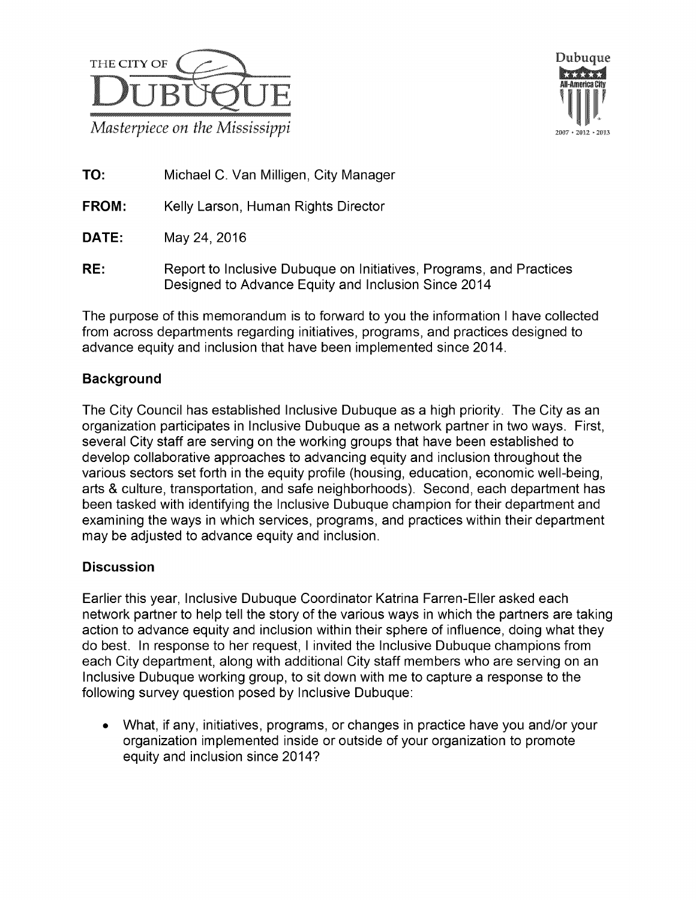



**TO:** Michael C. Van Milligen, City Manager

FROM: Kelly Larson, Human Rights Director

DATE: May24, 2016

RE: Report to Inclusive Dubuque on Initiatives, Programs, and Practices Designed to Advance Equity and Inclusion Since 2014

The purpose of this memorandum is to forward to you the information I have collected from across departments regarding initiatives, programs, and practices designed to advance equity and inclusion that have been implemented since 2014.

## Background

The City Council has established Inclusive Dubuque as a high priority. The City as an organization participates in Inclusive Dubuque as a network partner in two ways. First, several City staff are serving on the working groups that have been established to develop collaborative approaches to advancing equity and inclusion throughout the various sectors set forth in the equity profile (housing, education, economic well-being, arts & culture, transportation, and safe neighborhoods). Second, each department has been tasked with identifying the Inclusive Dubuque champion for their department and examining the ways in which services, programs, and practices within their department may be adjusted to advance equity and inclusion.

## **Discussion**

Earlier this year, Inclusive Dubuque Coordinator Katrina Farren-Eller asked each network partner to help tell the story of the various ways in which the partners are taking action to advance equity and inclusion within their sphere of influence, doing what they do best. In response to her request, I invited the Inclusive Dubuque champions from each City department, along with additional City staff members who are serving on an Inclusive Dubuque working group, to sit down with me to capture a response to the following survey question posed by Inclusive Dubuque:

• What, if any, initiatives, programs, or changes in practice have you and/or your organization implemented inside or outside of your organization to promote equity and inclusion since 2014?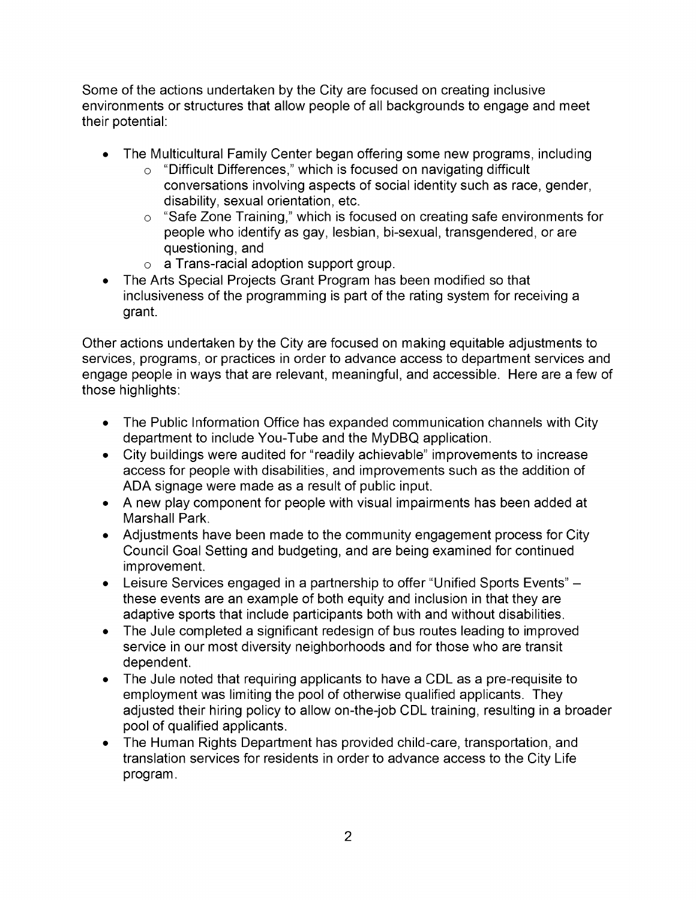Some of the actions undertaken by the City are focused on creating inclusive environments or structures that allow people of all backgrounds to engage and meet their potential:

- The Multicultural Family Center began offering some new programs, including
	- $\circ$  "Difficult Differences," which is focused on navigating difficult conversations involving aspects of social identity such as race, gender, disability, sexual orientation, etc.
	- $\circ$  "Safe Zone Training," which is focused on creating safe environments for people who identify as gay, lesbian, bi-sexual, transgendered, or are questioning, and
	- a Trans-racial adoption support group.
- The Arts Special Projects Grant Program has been modified so that inclusiveness of the programming is part of the rating system for receiving a grant.

Other actions undertaken by the City are focused on making equitable adjustments to services, programs, or practices in order to advance access to department services and engage people in ways that are relevant, meaningful, and accessible. Here are a few of those highlights:

- $\bullet$  The Public Information Office has expanded communication channels with City department to include You-Tube and the MyDBQ application.
- City buildings were audited for "readily achievable" improvements to increase access for people with disabilities, and improvements such as the addition of ADA signage were made as a result of public input.
- A new play component for people with visual impairments has been added at Marshall Park.
- Adjustments have been made to the community engagement process for City Council Goal Setting and budgeting, and are being examined for continued improvement.
- **•** Leisure Services engaged in a partnership to offer "Unified Sports Events"  $$ these events are an example of both equity and inclusion in that they are adaptive sports that include participants both with and without disabilities.
- The Jule completed a significant redesign of bus routes leading to improved service in our most diversity neighborhoods and for those who are transit dependent.
- $\bullet$  The Jule noted that requiring applicants to have a CDL as a pre-requisite to employment was limiting the pool of otherwise qualified applicants. They adjusted their hiring policy to allow on-the-job CDL training, resulting in a broader pool of qualified applicants.
- The Human Rights Department has provided child-care, transportation, and  $\bullet$ translation services for residents in order to advance access to the City Life program.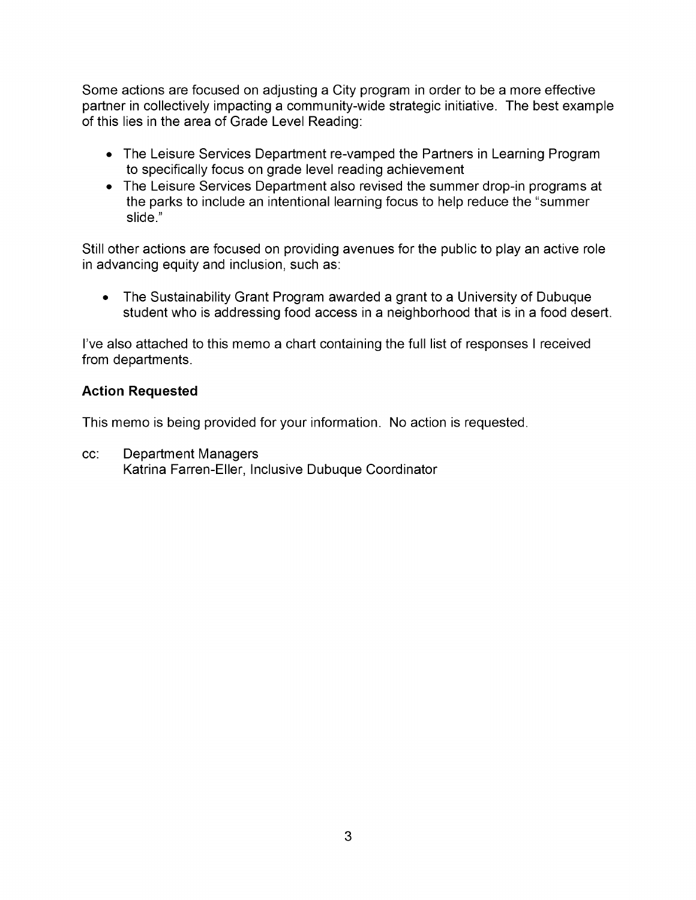Some actions are focused on adjusting a City program in order to be a more effective partner in collectively impacting a community-wide strategic initiative. The best example of this lies in the area of Grade Level Reading:

- The Leisure Services Department re-vamped the Partners in Learning Program to specifically focus on grade level reading achievement
- The Leisure Services Department also revised the summer drop-in programs at the parks to include an intentional learning focus to help reduce the "summer" slide.

Still other actions are focused on providing avenues for the public to play an active role in advancing equity and inclusion, such as:

The Sustainability Grant Program awarded a grant to a University of Dubuque  $\bullet$ student who is addressing food access in a neighborhood that is in a food desert.

I've also attached to this memo a chart containing the full list of responses I received from departments.

## **Action Requested**

This memo is being provided for your information. No action is requested.

cc: Department Managers Katrina Farren-Eller, Inclusive Dubuque Coordinator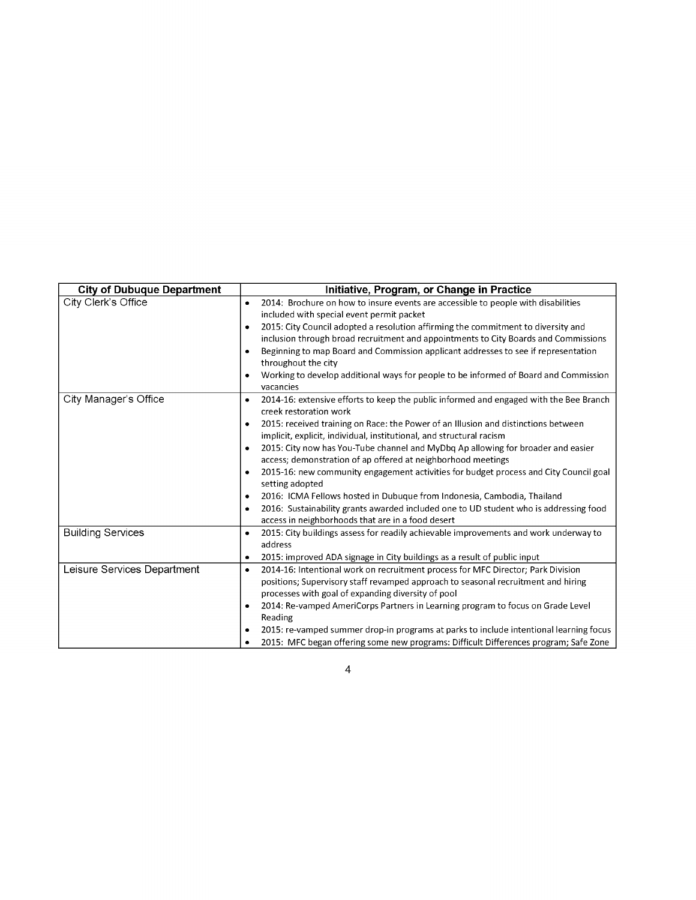| <b>City of Dubuque Department</b> | Initiative, Program, or Change in Practice                                                                                                 |
|-----------------------------------|--------------------------------------------------------------------------------------------------------------------------------------------|
| City Clerk's Office               | 2014: Brochure on how to insure events are accessible to people with disabilities<br>٠                                                     |
|                                   | included with special event permit packet                                                                                                  |
|                                   | 2015: City Council adopted a resolution affirming the commitment to diversity and                                                          |
|                                   | inclusion through broad recruitment and appointments to City Boards and Commissions                                                        |
|                                   | Beginning to map Board and Commission applicant addresses to see if representation                                                         |
|                                   | throughout the city                                                                                                                        |
|                                   | Working to develop additional ways for people to be informed of Board and Commission<br>vacancies                                          |
| City Manager's Office             | 2014-16: extensive efforts to keep the public informed and engaged with the Bee Branch<br>٠<br>creek restoration work                      |
|                                   | 2015: received training on Race: the Power of an Illusion and distinctions between                                                         |
|                                   | implicit, explicit, individual, institutional, and structural racism                                                                       |
|                                   | 2015: City now has You-Tube channel and MyDbq Ap allowing for broader and easier<br>٠                                                      |
|                                   | access; demonstration of ap offered at neighborhood meetings                                                                               |
|                                   | 2015-16: new community engagement activities for budget process and City Council goal                                                      |
|                                   | setting adopted                                                                                                                            |
|                                   | 2016: ICMA Fellows hosted in Dubuque from Indonesia, Cambodia, Thailand                                                                    |
|                                   | 2016: Sustainability grants awarded included one to UD student who is addressing food<br>access in neighborhoods that are in a food desert |
| <b>Building Services</b>          | 2015: City buildings assess for readily achievable improvements and work underway to<br>٠                                                  |
|                                   | address                                                                                                                                    |
|                                   | 2015: improved ADA signage in City buildings as a result of public input<br>٠                                                              |
| Leisure Services Department       | 2014-16: Intentional work on recruitment process for MFC Director; Park Division<br>٠                                                      |
|                                   | positions; Supervisory staff revamped approach to seasonal recruitment and hiring                                                          |
|                                   | processes with goal of expanding diversity of pool                                                                                         |
|                                   | 2014: Re-vamped AmeriCorps Partners in Learning program to focus on Grade Level                                                            |
|                                   | Reading                                                                                                                                    |
|                                   | 2015: re-vamped summer drop-in programs at parks to include intentional learning focus                                                     |
|                                   | 2015: MFC began offering some new programs: Difficult Differences program; Safe Zone                                                       |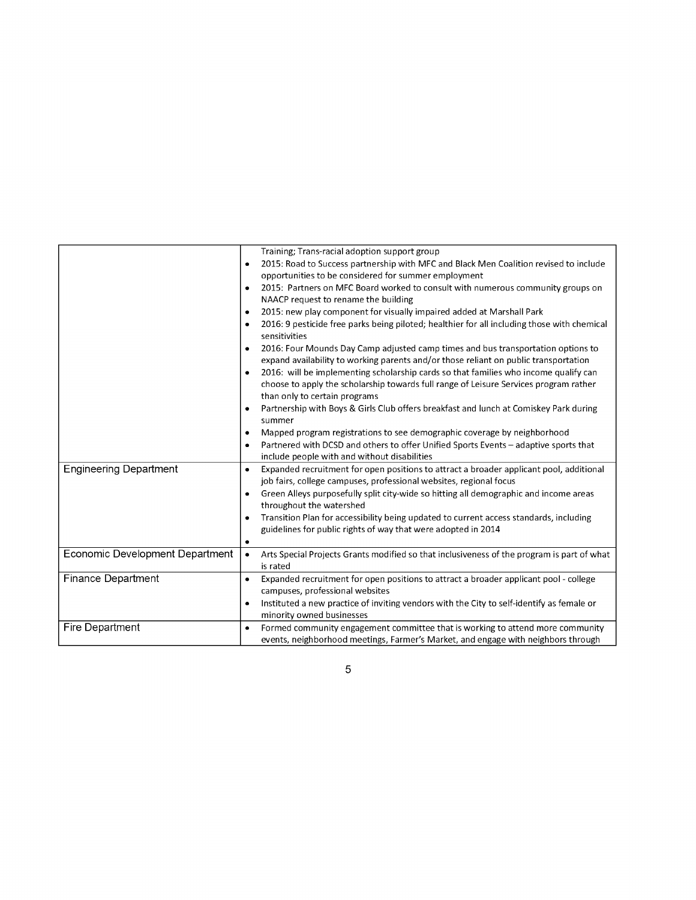|                                 | Training; Trans-racial adoption support group<br>2015: Road to Success partnership with MFC and Black Men Coalition revised to include<br>opportunities to be considered for summer employment |
|---------------------------------|------------------------------------------------------------------------------------------------------------------------------------------------------------------------------------------------|
|                                 | 2015: Partners on MFC Board worked to consult with numerous community groups on<br>٠<br>NAACP request to rename the building                                                                   |
|                                 | 2015: new play component for visually impaired added at Marshall Park                                                                                                                          |
|                                 | 2016: 9 pesticide free parks being piloted; healthier for all including those with chemical<br>sensitivities                                                                                   |
|                                 | 2016: Four Mounds Day Camp adjusted camp times and bus transportation options to<br>expand availability to working parents and/or those reliant on public transportation                       |
|                                 | 2016: will be implementing scholarship cards so that families who income qualify can                                                                                                           |
|                                 | choose to apply the scholarship towards full range of Leisure Services program rather<br>than only to certain programs                                                                         |
|                                 | Partnership with Boys & Girls Club offers breakfast and lunch at Comiskey Park during<br>summer                                                                                                |
|                                 | Mapped program registrations to see demographic coverage by neighborhood                                                                                                                       |
|                                 | Partnered with DCSD and others to offer Unified Sports Events - adaptive sports that<br>include people with and without disabilities                                                           |
| <b>Engineering Department</b>   | Expanded recruitment for open positions to attract a broader applicant pool, additional<br>٠<br>job fairs, college campuses, professional websites, regional focus                             |
|                                 | Green Alleys purposefully split city-wide so hitting all demographic and income areas<br>throughout the watershed                                                                              |
|                                 | Transition Plan for accessibility being updated to current access standards, including<br>guidelines for public rights of way that were adopted in 2014<br>٠                                   |
| Economic Development Department | Arts Special Projects Grants modified so that inclusiveness of the program is part of what<br>$\bullet$<br>is rated                                                                            |
| Finance Department              | Expanded recruitment for open positions to attract a broader applicant pool - college<br>$\bullet$<br>campuses, professional websites                                                          |
|                                 | Instituted a new practice of inviting vendors with the City to self-identify as female or<br>minority owned businesses                                                                         |
| Fire Department                 | Formed community engagement committee that is working to attend more community<br>$\bullet$<br>events, neighborhood meetings, Farmer's Market, and engage with neighbors through               |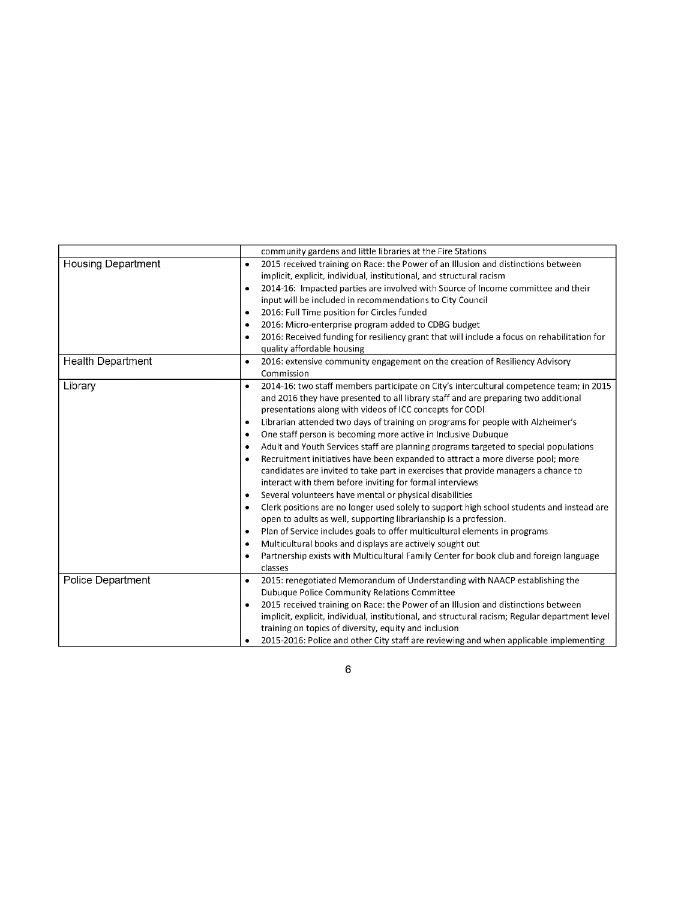|                           | community gardens and little libraries at the Fire Stations                                                                                                                                                                                                                                                                                                                                                                                                                                                                                                                                                                                                                                                                                                                                                                                                                                                                                                                                                                                                                                                                                                                                                                        |
|---------------------------|------------------------------------------------------------------------------------------------------------------------------------------------------------------------------------------------------------------------------------------------------------------------------------------------------------------------------------------------------------------------------------------------------------------------------------------------------------------------------------------------------------------------------------------------------------------------------------------------------------------------------------------------------------------------------------------------------------------------------------------------------------------------------------------------------------------------------------------------------------------------------------------------------------------------------------------------------------------------------------------------------------------------------------------------------------------------------------------------------------------------------------------------------------------------------------------------------------------------------------|
| <b>Housing Department</b> | 2015 received training on Race: the Power of an Illusion and distinctions between<br>٠<br>implicit, explicit, individual, institutional, and structural racism<br>2014-16: Impacted parties are involved with Source of Income committee and their<br>٠<br>input will be included in recommendations to City Council<br>2016: Full Time position for Circles funded<br>٠<br>2016: Micro-enterprise program added to CDBG budget<br>2016: Received funding for resiliency grant that will include a focus on rehabilitation for<br>٠<br>quality affordable housing                                                                                                                                                                                                                                                                                                                                                                                                                                                                                                                                                                                                                                                                  |
| <b>Health Department</b>  | 2016: extensive community engagement on the creation of Resiliency Advisory<br>٠<br>Commission                                                                                                                                                                                                                                                                                                                                                                                                                                                                                                                                                                                                                                                                                                                                                                                                                                                                                                                                                                                                                                                                                                                                     |
| Library                   | 2014-16: two staff members participate on City's intercultural competence team; in 2015<br>$\bullet$<br>and 2016 they have presented to all library staff and are preparing two additional<br>presentations along with videos of ICC concepts for CODI<br>Librarian attended two days of training on programs for people with Alzheimer's<br>٠<br>One staff person is becoming more active in Inclusive Dubuque<br>Adult and Youth Services staff are planning programs targeted to special populations<br>Recruitment initiatives have been expanded to attract a more diverse pool; more<br>candidates are invited to take part in exercises that provide managers a chance to<br>interact with them before inviting for formal interviews<br>Several volunteers have mental or physical disabilities<br>Clerk positions are no longer used solely to support high school students and instead are<br>٠<br>open to adults as well, supporting librarianship is a profession.<br>Plan of Service includes goals to offer multicultural elements in programs<br>٠<br>Multicultural books and displays are actively sought out<br>Partnership exists with Multicultural Family Center for book club and foreign language<br>classes |
| Police Department         | 2015: renegotiated Memorandum of Understanding with NAACP establishing the<br>٠<br><b>Dubuque Police Community Relations Committee</b>                                                                                                                                                                                                                                                                                                                                                                                                                                                                                                                                                                                                                                                                                                                                                                                                                                                                                                                                                                                                                                                                                             |
|                           | 2015 received training on Race: the Power of an Illusion and distinctions between<br>implicit, explicit, individual, institutional, and structural racism; Regular department level<br>training on topics of diversity, equity and inclusion<br>2015-2016: Police and other City staff are reviewing and when applicable implementing                                                                                                                                                                                                                                                                                                                                                                                                                                                                                                                                                                                                                                                                                                                                                                                                                                                                                              |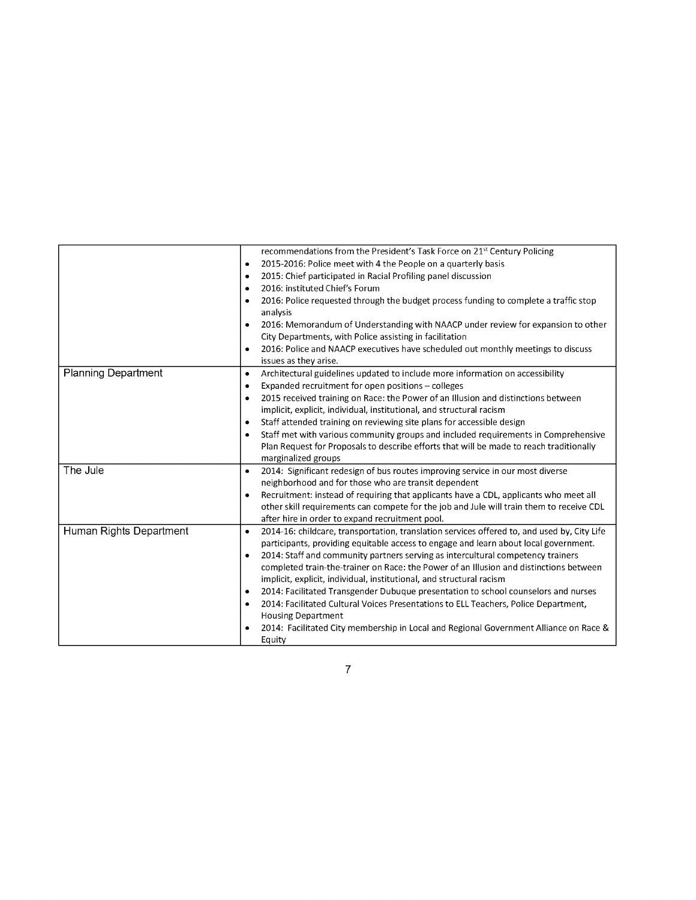| 2015-2016: Police meet with 4 the People on a quarterly basis                                                                                                                                                                                                          |
|------------------------------------------------------------------------------------------------------------------------------------------------------------------------------------------------------------------------------------------------------------------------|
| 2015: Chief participated in Racial Profiling panel discussion                                                                                                                                                                                                          |
|                                                                                                                                                                                                                                                                        |
| 2016: Police requested through the budget process funding to complete a traffic stop                                                                                                                                                                                   |
| 2016: Memorandum of Understanding with NAACP under review for expansion to other<br>City Departments, with Police assisting in facilitation                                                                                                                            |
| 2016: Police and NAACP executives have scheduled out monthly meetings to discuss                                                                                                                                                                                       |
| Architectural guidelines updated to include more information on accessibility<br>Expanded recruitment for open positions - colleges                                                                                                                                    |
| 2015 received training on Race: the Power of an Illusion and distinctions between<br>implicit, explicit, individual, institutional, and structural racism                                                                                                              |
| Staff attended training on reviewing site plans for accessible design                                                                                                                                                                                                  |
| Staff met with various community groups and included requirements in Comprehensive                                                                                                                                                                                     |
| Plan Request for Proposals to describe efforts that will be made to reach traditionally                                                                                                                                                                                |
|                                                                                                                                                                                                                                                                        |
| 2014: Significant redesign of bus routes improving service in our most diverse                                                                                                                                                                                         |
| neighborhood and for those who are transit dependent                                                                                                                                                                                                                   |
| Recruitment: instead of requiring that applicants have a CDL, applicants who meet all                                                                                                                                                                                  |
| other skill requirements can compete for the job and Jule will train them to receive CDL<br>after hire in order to expand recruitment pool.                                                                                                                            |
| 2014-16: childcare, transportation, translation services offered to, and used by, City Life<br>participants, providing equitable access to engage and learn about local government.<br>2014: Staff and community partners serving as intercultural competency trainers |
| completed train-the-trainer on Race: the Power of an Illusion and distinctions between<br>implicit, explicit, individual, institutional, and structural racism                                                                                                         |
|                                                                                                                                                                                                                                                                        |
| 2014: Facilitated Transgender Dubuque presentation to school counselors and nurses                                                                                                                                                                                     |
| 2014: Facilitated Cultural Voices Presentations to ELL Teachers, Police Department,                                                                                                                                                                                    |
| 2014: Facilitated City membership in Local and Regional Government Alliance on Race &                                                                                                                                                                                  |
|                                                                                                                                                                                                                                                                        |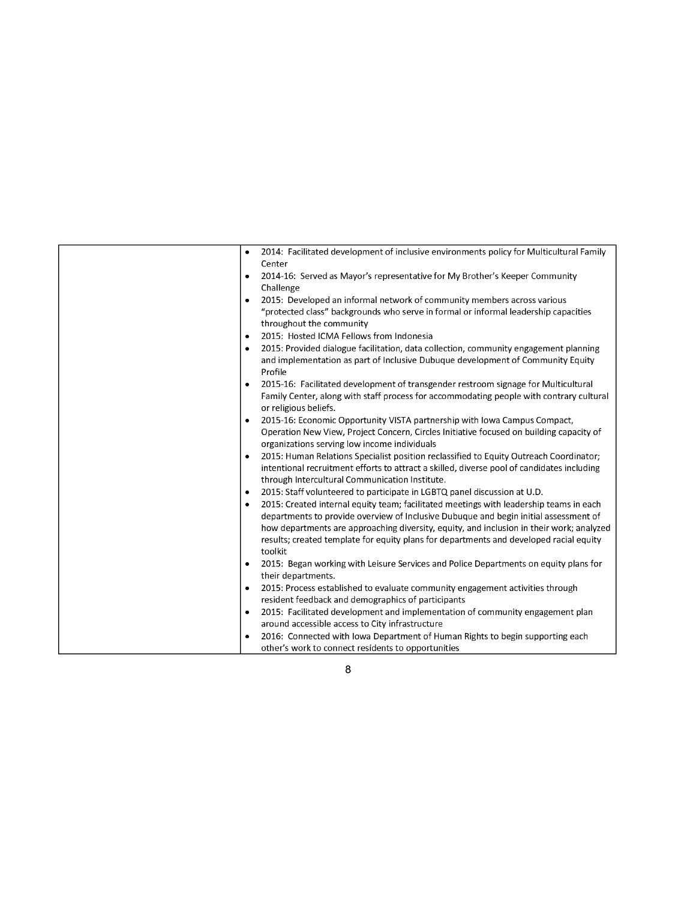| ٠         | 2014: Facilitated development of inclusive environments policy for Multicultural Family    |
|-----------|--------------------------------------------------------------------------------------------|
|           | Center                                                                                     |
| $\bullet$ | 2014-16: Served as Mayor's representative for My Brother's Keeper Community                |
|           | Challenge                                                                                  |
| ٠         | 2015: Developed an informal network of community members across various                    |
|           | "protected class" backgrounds who serve in formal or informal leadership capacities        |
|           | throughout the community                                                                   |
| ٠         | 2015: Hosted ICMA Fellows from Indonesia                                                   |
| ٠         | 2015: Provided dialogue facilitation, data collection, community engagement planning       |
|           | and implementation as part of Inclusive Dubuque development of Community Equity            |
|           | Profile                                                                                    |
| $\bullet$ | 2015-16: Facilitated development of transgender restroom signage for Multicultural         |
|           | Family Center, along with staff process for accommodating people with contrary cultural    |
|           | or religious beliefs.                                                                      |
| ٠         | 2015-16: Economic Opportunity VISTA partnership with Iowa Campus Compact,                  |
|           | Operation New View, Project Concern, Circles Initiative focused on building capacity of    |
|           | organizations serving low income individuals                                               |
| ٠         | 2015: Human Relations Specialist position reclassified to Equity Outreach Coordinator;     |
|           | intentional recruitment efforts to attract a skilled, diverse pool of candidates including |
|           | through Intercultural Communication Institute.                                             |
| ٠         | 2015: Staff volunteered to participate in LGBTQ panel discussion at U.D.                   |
| ٠         | 2015: Created internal equity team; facilitated meetings with leadership teams in each     |
|           | departments to provide overview of Inclusive Dubuque and begin initial assessment of       |
|           | how departments are approaching diversity, equity, and inclusion in their work; analyzed   |
|           | results; created template for equity plans for departments and developed racial equity     |
|           | toolkit                                                                                    |
| ٠         | 2015: Began working with Leisure Services and Police Departments on equity plans for       |
|           | their departments.                                                                         |
| $\bullet$ | 2015: Process established to evaluate community engagement activities through              |
|           | resident feedback and demographics of participants                                         |
| ٠         | 2015: Facilitated development and implementation of community engagement plan              |
|           | around accessible access to City infrastructure                                            |
| ٠         | 2016: Connected with lowa Department of Human Rights to begin supporting each              |
|           | other's work to connect residents to opportunities                                         |